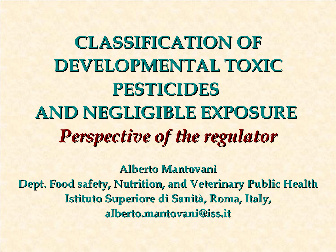**CLASSIFICATION OF DEVELOPMENTAL TOXIC PESTICIDES AND NEGLIGIBLE EXPOSURE**  *Perspective of the regulator*

**Alberto Mantovani**

**Dept. Food safety, Nutrition, and Veterinary Public Health Istituto Superiore di Sanità, Roma, Italy, alberto.mantovani@iss.it**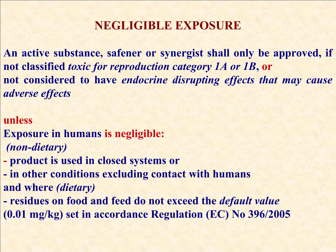## **NEGLIGIBLE EXPOSURE**

**An active substance, safener or synergist shall only be approved, if not classified** *toxic for reproduction category 1A or 1B***, or not considered to have** *endocrine disrupting effects that may cause adverse effects*

**unless Exposure in humans is negligible:** *(non-dietary)* **- product is used in closed systems or**

**- in other conditions excluding contact with humans and where** *(dietary)*

**- residues on food and feed do not exceed the** *default value*  **(0.01 mg/kg) set in accordance Regulation (EC) No 396/2005**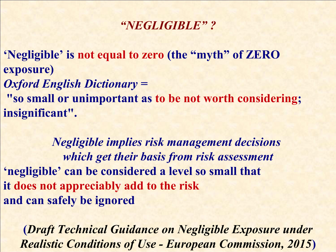### *"NEGLIGIBLE" ?*

**'Negligible' is not equal to zero (the "myth" of ZERO exposure)** 

*Oxford English Dictionary =*

**"so small or unimportant as to be not worth considering; insignificant".**

*Negligible implies risk management decisions which get their basis from risk assessment* **'negligible' can be considered a level so small that it does not appreciably add to the risk and can safely be ignored**

**(***Draft Technical Guidance on Negligible Exposure under Realistic Conditions of Use - European Commission, 2015***)**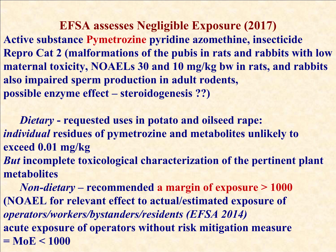**EFSA assesses Negligible Exposure (2017) Active substance Pymetrozine pyridine azomethine, insecticide Repro Cat 2 (malformations of the pubis in rats and rabbits with low maternal toxicity, NOAELs 30 and 10 mg/kg bw in rats, and rabbits also impaired sperm production in adult rodents, possible enzyme effect – steroidogenesis ??)**

*Dietary* **- requested uses in potato and oilseed rape:**  *individual* **residues of pymetrozine and metabolites unlikely to exceed 0.01 mg/kg** *But* **incomplete toxicological characterization of the pertinent plant metabolites**

*Non-dietary –* **recommended a margin of exposure > 1000 (NOAEL for relevant effect to actual/estimated exposure of**  *operators/workers/bystanders/residents (EFSA 2014)* **acute exposure of operators without risk mitigation measure = MoE < 1000**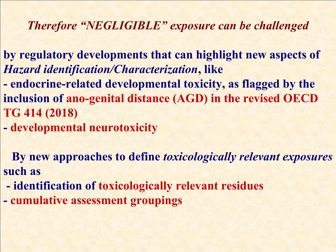## *Therefore "NEGLIGIBLE" exposure can be challenged*

**by regulatory developments that can highlight new aspects of**  *Hazard identification/Characterization***, like**

**- endocrine-related developmental toxicity, as flagged by the inclusion of ano-genital distance (AGD) in the revised OECD TG 414 (2018)** 

**- developmental neurotoxicity**

**By new approaches to define** *toxicologically relevant exposures* **such as** 

**- identification of toxicologically relevant residues**

**- cumulative assessment groupings**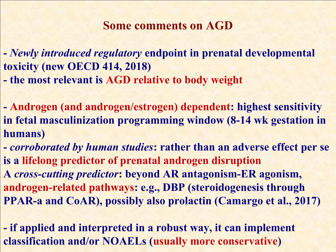#### **Some comments on AGD**

**-** *Newly introduced regulatory* **endpoint in prenatal developmental toxicity (new OECD 414, 2018) - the most relevant is AGD relative to body weight**

**- Androgen (and androgen/estrogen) dependent: highest sensitivity in fetal masculinization programming window (8-14 wk gestation in humans)**

**-** *corroborated by human studies***: rather than an adverse effect per se is a lifelong predictor of prenatal androgen disruption A** *cross-cutting predictor***: beyond AR antagonism-ER agonism, androgen-related pathways: e.g., DBP (steroidogenesis through PPAR-a and CoAR), possibly also prolactin (Camargo et al., 2017)**

**- if applied and interpreted in a robust way, it can implement classification and/or NOAELs (usually more conservative)**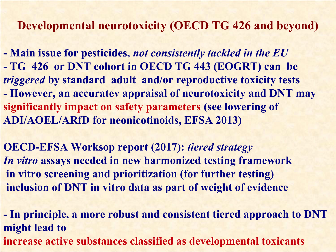### **Developmental neurotoxicity (OECD TG 426 and beyond)**

**- Main issue for pesticides,** *not consistently tackled in the EU*  **- TG 426 or DNT cohort in OECD TG 443 (EOGRT) can be**  *triggered* **by standard adult and/or reproductive toxicity tests - However, an accuratev appraisal of neurotoxicity and DNT may significantly impact on safety parameters (see lowering of ADI/AOEL/ARfD for neonicotinoids, EFSA 2013)**

**OECD-EFSA Worksop report (2017):** *tiered strategy In vitro* **assays needed in new harmonized testing framework in vitro screening and prioritization (for further testing) inclusion of DNT in vitro data as part of weight of evidence**

**- In principle, a more robust and consistent tiered approach to DNT might lead to increase active substances classified as developmental toxicants**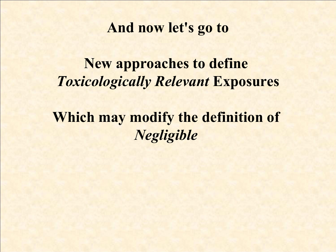## **And now let's go to**

## **New approaches to define**  *Toxicologically Relevant* **Exposures**

# **Which may modify the definition of**  *Negligible*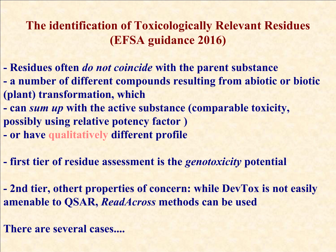## **The identification of Toxicologically Relevant Residues (EFSA guidance 2016)**

- **Residues often** *do not coincide* **with the parent substance**
- **a number of different compounds resulting from abiotic or biotic (plant) transformation, which**
- **can** *sum up* **with the active substance (comparable toxicity, possibly using relative potency factor )**
- **or have qualitatively different profile**
- **first tier of residue assessment is the** *genotoxicity* **potential**
- **2nd tier, othert properties of concern: while DevTox is not easily amenable to QSAR,** *ReadAcross* **methods can be used**
- **There are several cases....**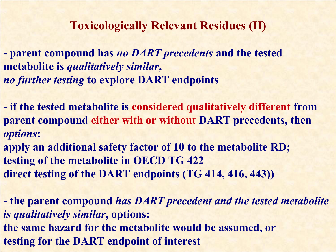### **Toxicologically Relevant Residues (II)**

**- parent compound has** *no DART precedents* **and the tested metabolite is** *qualitatively similar***,**  *no further testing* **to explore DART endpoints** 

**- if the tested metabolite is considered qualitatively different from parent compound either with or without DART precedents, then**  *options***:**

**apply an additional safety factor of 10 to the metabolite RD; testing of the metabolite in OECD TG 422 direct testing of the DART endpoints (TG 414, 416, 443))**

**- the parent compound** *has DART precedent and the tested metabolite is qualitatively similar***, options: the same hazard for the metabolite would be assumed, or testing for the DART endpoint of interest**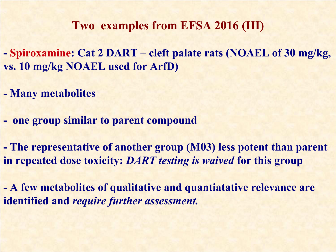#### **Two examples from EFSA 2016 (III)**

**- Spiroxamine: Cat 2 DART – cleft palate rats (NOAEL of 30 mg/kg, vs. 10 mg/kg NOAEL used for ArfD)**

**- Many metabolites**

**- one group similar to parent compound**

**- The representative of another group (M03) less potent than parent in repeated dose toxicity:** *DART testing is waived* **for this group**

**- A few metabolites of qualitative and quantiatative relevance are identified and** *require further assessment.*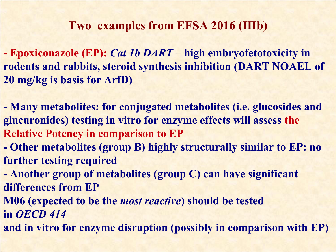## **Two examples from EFSA 2016 (IIIb)**

**- Epoxiconazole (EP):** *Cat 1b DART* **– high embryofetotoxicity in rodents and rabbits, steroid synthesis inhibition (DART NOAEL of 20 mg/kg is basis for ArfD)**

**- Many metabolites: for conjugated metabolites (i.e. glucosides and glucuronides) testing in vitro for enzyme effects will assess the Relative Potency in comparison to EP**

**- Other metabolites (group B) highly structurally similar to EP: no further testing required** 

**- Another group of metabolites (group C) can have significant differences from EP**

**M06 (expected to be the** *most reactive***) should be tested in** *OECD 414* 

**and in vitro for enzyme disruption (possibly in comparison with EP)**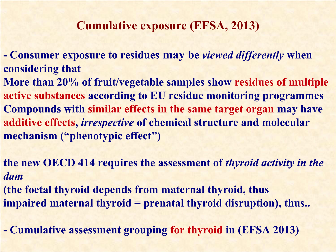### **Cumulative exposure (EFSA, 2013)**

- **Consumer exposure to residues may be** *viewed differently* **when considering that**
- **More than 20% of fruit/vegetable samples show residues of multiple active substances according to EU residue monitoring programmes Compounds with similar effects in the same target organ may have additive effects,** *irrespective* **of chemical structure and molecular mechanism ("phenotypic effect")**
- **the new OECD 414 requires the assessment of** *thyroid activity in the dam*
- **(the foetal thyroid depends from maternal thyroid, thus impaired maternal thyroid = prenatal thyroid disruption), thus..**
- **Cumulative assessment grouping for thyroid in (EFSA 2013)**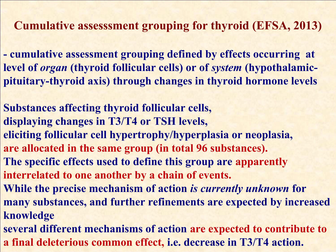## **Cumulative assesssment grouping for thyroid (EFSA, 2013)**

**- cumulative assessment grouping defined by effects occurring at level of** *organ* **(thyroid follicular cells) or of** *system* **(hypothalamicpituitary-thyroid axis) through changes in thyroid hormone levels**

**Substances affecting thyroid follicular cells, displaying changes in T3/T4 or TSH levels, eliciting follicular cell hypertrophy/hyperplasia or neoplasia, are allocated in the same group (in total 96 substances). The specific effects used to define this group are apparently interrelated to one another by a chain of events.**

**While the precise mechanism of action** *is currently unknown* **for many substances, and further refinements are expected by increased knowledge**

**several different mechanisms of action are expected to contribute to a final deleterious common effect, i.e. decrease in T3/T4 action.**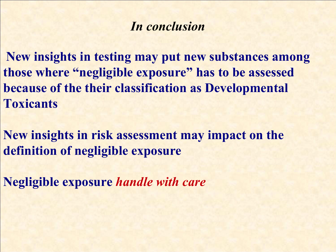## *In conclusion*

**New insights in testing may put new substances among those where "negligible exposure" has to be assessed because of the their classification as Developmental Toxicants**

**New insights in risk assessment may impact on the definition of negligible exposure**

**Negligible exposure** *handle with care*